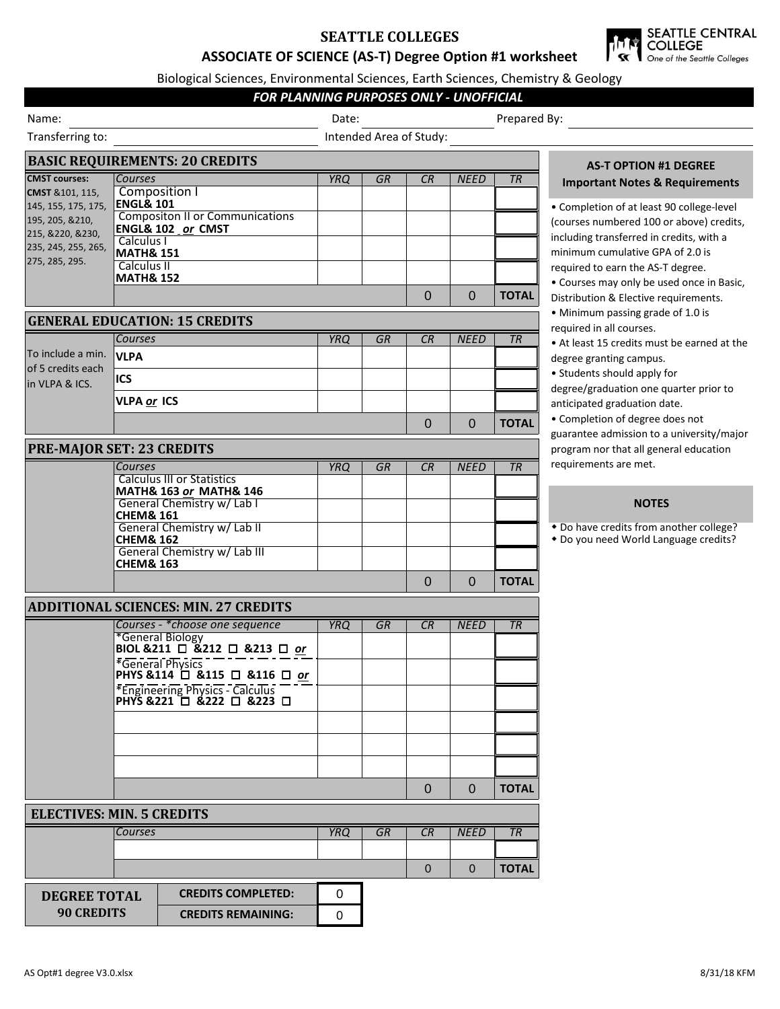# **SEATTLE COLLEGES ASSOCIATE OF SCIENCE (AS-T) Degree Option #1 worksheet**



Biological Sciences, Environmental Sciences, Earth Sciences, Chemistry & Geology

## *FOR PLANNING PURPOSES ONLY - UNOFFICIAL*

| Name:                                                                                               |                                       |                                                                        | <u>UN FLANNING FUNFUSES UNET FUNCTIFUAL</u><br>Date: |           |              |                |              | Prepared By:                                                                                                                                                                          |  |  |
|-----------------------------------------------------------------------------------------------------|---------------------------------------|------------------------------------------------------------------------|------------------------------------------------------|-----------|--------------|----------------|--------------|---------------------------------------------------------------------------------------------------------------------------------------------------------------------------------------|--|--|
| Transferring to:                                                                                    |                                       |                                                                        | Intended Area of Study:                              |           |              |                |              |                                                                                                                                                                                       |  |  |
|                                                                                                     |                                       | <b>BASIC REQUIREMENTS: 20 CREDITS</b>                                  |                                                      |           |              |                |              | <b>AS-T OPTION #1 DEGREE</b>                                                                                                                                                          |  |  |
| <b>CMST courses:</b>                                                                                | Courses                               |                                                                        | <b>YRQ</b>                                           | <b>GR</b> | CR           | <b>NEED</b>    | <b>TR</b>    | <b>Important Notes &amp; Requirements</b>                                                                                                                                             |  |  |
| CMST & 101, 115,                                                                                    | Composition I<br><b>ENGL&amp; 101</b> |                                                                        |                                                      |           |              |                |              |                                                                                                                                                                                       |  |  |
| 145, 155, 175, 175,<br>195, 205, &210,<br>215, &220, &230,<br>235, 245, 255, 265,<br>275, 285, 295. |                                       | <b>Compositon II or Communications</b><br><b>ENGL&amp; 102 or CMST</b> |                                                      |           |              |                |              | • Completion of at least 90 college-level<br>(courses numbered 100 or above) credits,                                                                                                 |  |  |
|                                                                                                     |                                       | Calculus I<br><b>MATH&amp; 151</b>                                     |                                                      |           |              |                |              | including transferred in credits, with a<br>minimum cumulative GPA of 2.0 is                                                                                                          |  |  |
|                                                                                                     | Calculus II<br><b>MATH&amp; 152</b>   |                                                                        |                                                      |           |              |                |              | required to earn the AS-T degree.<br>• Courses may only be used once in Basic,                                                                                                        |  |  |
|                                                                                                     |                                       |                                                                        |                                                      |           | $\mathbf{0}$ | $\overline{0}$ | <b>TOTAL</b> | Distribution & Elective requirements.                                                                                                                                                 |  |  |
|                                                                                                     |                                       | <b>GENERAL EDUCATION: 15 CREDITS</b>                                   |                                                      |           |              |                |              | • Minimum passing grade of 1.0 is<br>required in all courses.                                                                                                                         |  |  |
| To include a min.<br>of 5 credits each<br>in VLPA & ICS.                                            | Courses                               |                                                                        | <b>YRQ</b>                                           | GR        | CR           | <b>NEED</b>    | TR           | • At least 15 credits must be earned at the                                                                                                                                           |  |  |
|                                                                                                     | <b>VLPA</b>                           |                                                                        |                                                      |           |              |                |              | degree granting campus.                                                                                                                                                               |  |  |
|                                                                                                     | ICS                                   |                                                                        |                                                      |           |              |                |              | • Students should apply for<br>degree/graduation one quarter prior to<br>anticipated graduation date.<br>• Completion of degree does not<br>guarantee admission to a university/major |  |  |
|                                                                                                     | VLPA or ICS                           |                                                                        |                                                      |           |              |                |              |                                                                                                                                                                                       |  |  |
|                                                                                                     |                                       |                                                                        |                                                      |           | $\Omega$     | $\mathbf 0$    | <b>TOTAL</b> |                                                                                                                                                                                       |  |  |
| <b>PRE-MAJOR SET: 23 CREDITS</b>                                                                    |                                       |                                                                        |                                                      |           |              |                |              | program nor that all general education                                                                                                                                                |  |  |
|                                                                                                     | Courses                               |                                                                        | <b>YRQ</b>                                           | GR        | CR           | <b>NEED</b>    | TR           | requirements are met.                                                                                                                                                                 |  |  |
|                                                                                                     |                                       | <b>Calculus III or Statistics</b><br>MATH& 163 or MATH& 146            |                                                      |           |              |                |              |                                                                                                                                                                                       |  |  |
|                                                                                                     | <b>CHEM&amp; 161</b>                  | General Chemistry w/ Lab I                                             |                                                      |           |              |                |              | <b>NOTES</b>                                                                                                                                                                          |  |  |
|                                                                                                     | <b>CHEM&amp; 162</b>                  | General Chemistry w/ Lab II                                            |                                                      |           |              |                |              | • Do have credits from another college?<br>* Do you need World Language credits?                                                                                                      |  |  |
|                                                                                                     | <b>CHEM&amp; 163</b>                  | General Chemistry w/ Lab III                                           |                                                      |           |              |                |              |                                                                                                                                                                                       |  |  |
|                                                                                                     |                                       |                                                                        |                                                      |           | $\mathbf 0$  | $\Omega$       | <b>TOTAL</b> |                                                                                                                                                                                       |  |  |
|                                                                                                     |                                       | <b>ADDITIONAL SCIENCES: MIN. 27 CREDITS</b>                            |                                                      |           |              |                |              |                                                                                                                                                                                       |  |  |
|                                                                                                     |                                       | Courses - * choose one sequence                                        | <b>YRQ</b>                                           | GR        | CR           | <b>NEED</b>    | TR           |                                                                                                                                                                                       |  |  |
|                                                                                                     |                                       | *General Biology<br>BIOL & 211 $\Box$ & 212 $\Box$ & 213 $\Box$ or     |                                                      |           |              |                |              |                                                                                                                                                                                       |  |  |
|                                                                                                     |                                       | *General Physics<br>PHYS & 114 □ & 115 □ & 116 □ or                    |                                                      |           |              |                |              |                                                                                                                                                                                       |  |  |
|                                                                                                     |                                       | *Engineering Physics - Calculus –<br>PHYS &221 □ &222 □ &223 □         |                                                      |           |              |                |              |                                                                                                                                                                                       |  |  |
|                                                                                                     |                                       |                                                                        |                                                      |           |              |                |              |                                                                                                                                                                                       |  |  |
|                                                                                                     |                                       |                                                                        |                                                      |           |              |                |              |                                                                                                                                                                                       |  |  |
|                                                                                                     |                                       |                                                                        |                                                      |           |              |                |              |                                                                                                                                                                                       |  |  |
|                                                                                                     |                                       |                                                                        |                                                      |           | $\mathbf{0}$ | $\Omega$       | <b>TOTAL</b> |                                                                                                                                                                                       |  |  |
| <b>ELECTIVES: MIN. 5 CREDITS</b>                                                                    |                                       |                                                                        |                                                      |           |              |                |              |                                                                                                                                                                                       |  |  |
|                                                                                                     | Courses                               |                                                                        | <b>YRQ</b>                                           | GR        | CR           | <b>NEED</b>    | TR           |                                                                                                                                                                                       |  |  |
|                                                                                                     |                                       |                                                                        |                                                      |           | $\Omega$     | $\Omega$       | <b>TOTAL</b> |                                                                                                                                                                                       |  |  |
| <b>CREDITS COMPLETED:</b><br><b>DEGREE TOTAL</b>                                                    |                                       |                                                                        | 0                                                    |           |              |                |              |                                                                                                                                                                                       |  |  |
| <b>90 CREDITS</b>                                                                                   |                                       | <b>CREDITS REMAINING:</b>                                              | $\mathbf 0$                                          |           |              |                |              |                                                                                                                                                                                       |  |  |